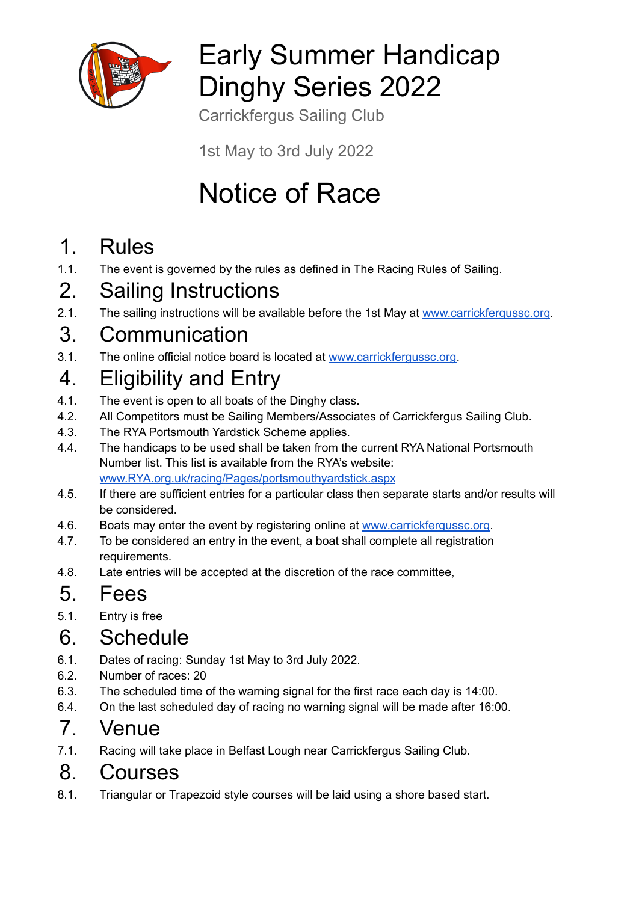

## Early Summer Handicap Dinghy Series 2022

Carrickfergus Sailing Club

1st May to 3rd July 2022

# Notice of Race

#### 1. Rules

1.1. The event is governed by the rules as defined in The Racing Rules of Sailing.

## 2. Sailing Instructions

2.1. The sailing instructions will be available before the 1st May at [www.carrickfergussc.org](http://www.carrickfergussc.org).

#### 3. Communication

3.1. The online official notice board is located at [www.carrickfergussc.org.](http://www.carrickfergussc.org)

## 4. Eligibility and Entry

- 4.1. The event is open to all boats of the Dinghy class.
- 4.2. All Competitors must be Sailing Members/Associates of Carrickfergus Sailing Club.
- 4.3. The RYA Portsmouth Yardstick Scheme applies.
- 4.4. The handicaps to be used shall be taken from the current RYA National Portsmouth Number list. This list is available from the RYA's website: [www.RYA.org.uk/racing/Pages/portsmouthyardstick.aspx](http://www.rya.org.uk/racing/Pages/portsmouthyardstick.aspx)
- 4.5. If there are sufficient entries for a particular class then separate starts and/or results will be considered.
- 4.6. Boats may enter the event by registering online at [www.carrickfergussc.org](http://www.carrickfergussc.org).
- 4.7. To be considered an entry in the event, a boat shall complete all registration requirements.
- 4.8. Late entries will be accepted at the discretion of the race committee,

## 5. Fees

5.1. Entry is free

#### 6. Schedule

- 6.1. Dates of racing: Sunday 1st May to 3rd July 2022.
- 6.2. Number of races: 20
- 6.3. The scheduled time of the warning signal for the first race each day is 14:00.
- 6.4. On the last scheduled day of racing no warning signal will be made after 16:00.

## 7. Venue

7.1. Racing will take place in Belfast Lough near Carrickfergus Sailing Club.

#### 8. Courses

8.1. Triangular or Trapezoid style courses will be laid using a shore based start.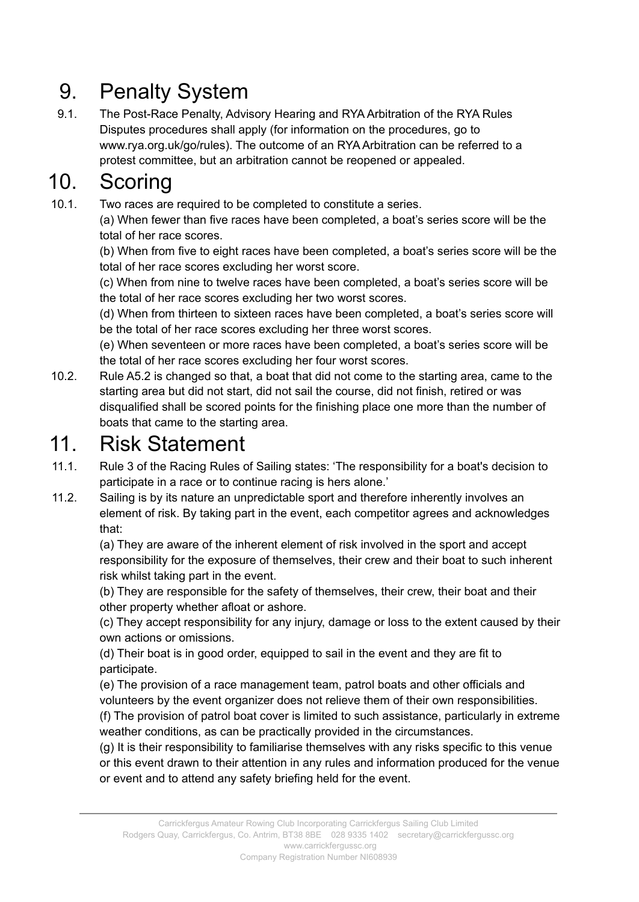## 9. Penalty System

9.1. The Post-Race Penalty, Advisory Hearing and RYA Arbitration of the RYA Rules Disputes procedures shall apply (for information on the procedures, go to www.rya.org.uk/go/rules). The outcome of an RYA Arbitration can be referred to a protest committee, but an arbitration cannot be reopened or appealed.

#### 10. Scoring

10.1. Two races are required to be completed to constitute a series.

(a) When fewer than five races have been completed, a boat's series score will be the total of her race scores.

(b) When from five to eight races have been completed, a boat's series score will be the total of her race scores excluding her worst score.

(c) When from nine to twelve races have been completed, a boat's series score will be the total of her race scores excluding her two worst scores.

(d) When from thirteen to sixteen races have been completed, a boat's series score will be the total of her race scores excluding her three worst scores.

(e) When seventeen or more races have been completed, a boat's series score will be the total of her race scores excluding her four worst scores.

10.2. Rule A5.2 is changed so that, a boat that did not come to the starting area, came to the starting area but did not start, did not sail the course, did not finish, retired or was disqualified shall be scored points for the finishing place one more than the number of boats that came to the starting area.

## 11. Risk Statement

- 11.1. Rule 3 of the Racing Rules of Sailing states: 'The responsibility for a boat's decision to participate in a race or to continue racing is hers alone.'
- 11.2. Sailing is by its nature an unpredictable sport and therefore inherently involves an element of risk. By taking part in the event, each competitor agrees and acknowledges that:

(a) They are aware of the inherent element of risk involved in the sport and accept responsibility for the exposure of themselves, their crew and their boat to such inherent risk whilst taking part in the event.

(b) They are responsible for the safety of themselves, their crew, their boat and their other property whether afloat or ashore.

(c) They accept responsibility for any injury, damage or loss to the extent caused by their own actions or omissions.

(d) Their boat is in good order, equipped to sail in the event and they are fit to participate.

(e) The provision of a race management team, patrol boats and other officials and volunteers by the event organizer does not relieve them of their own responsibilities.

(f) The provision of patrol boat cover is limited to such assistance, particularly in extreme weather conditions, as can be practically provided in the circumstances.

(g) It is their responsibility to familiarise themselves with any risks specific to this venue or this event drawn to their attention in any rules and information produced for the venue or event and to attend any safety briefing held for the event.